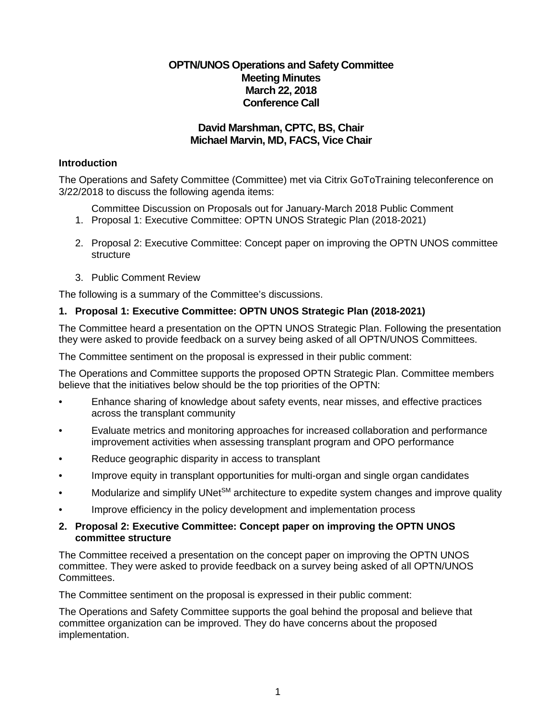## **OPTN/UNOS Operations and Safety Committee Meeting Minutes March 22, 2018 Conference Call**

# **David Marshman, CPTC, BS, Chair Michael Marvin, MD, FACS, Vice Chair**

### **Introduction**

The Operations and Safety Committee (Committee) met via Citrix GoToTraining teleconference on 3/22/2018 to discuss the following agenda items:

Committee Discussion on Proposals out for January-March 2018 Public Comment

- 1. Proposal 1: Executive Committee: OPTN UNOS Strategic Plan (2018-2021)
- 2. Proposal 2: Executive Committee: Concept paper on improving the OPTN UNOS committee structure
- 3. Public Comment Review

The following is a summary of the Committee's discussions.

# **1. Proposal 1: Executive Committee: OPTN UNOS Strategic Plan (2018-2021)**

The Committee heard a presentation on the OPTN UNOS Strategic Plan. Following the presentation they were asked to provide feedback on a survey being asked of all OPTN/UNOS Committees.

The Committee sentiment on the proposal is expressed in their public comment:

The Operations and Committee supports the proposed OPTN Strategic Plan. Committee members believe that the initiatives below should be the top priorities of the OPTN:

- Enhance sharing of knowledge about safety events, near misses, and effective practices across the transplant community
- Evaluate metrics and monitoring approaches for increased collaboration and performance improvement activities when assessing transplant program and OPO performance
- Reduce geographic disparity in access to transplant
- Improve equity in transplant opportunities for multi-organ and single organ candidates
- Modularize and simplify UNet<sup>SM</sup> architecture to expedite system changes and improve quality
- Improve efficiency in the policy development and implementation process

### **2. Proposal 2: Executive Committee: Concept paper on improving the OPTN UNOS committee structure**

The Committee received a presentation on the concept paper on improving the OPTN UNOS committee. They were asked to provide feedback on a survey being asked of all OPTN/UNOS Committees.

The Committee sentiment on the proposal is expressed in their public comment:

The Operations and Safety Committee supports the goal behind the proposal and believe that committee organization can be improved. They do have concerns about the proposed implementation.